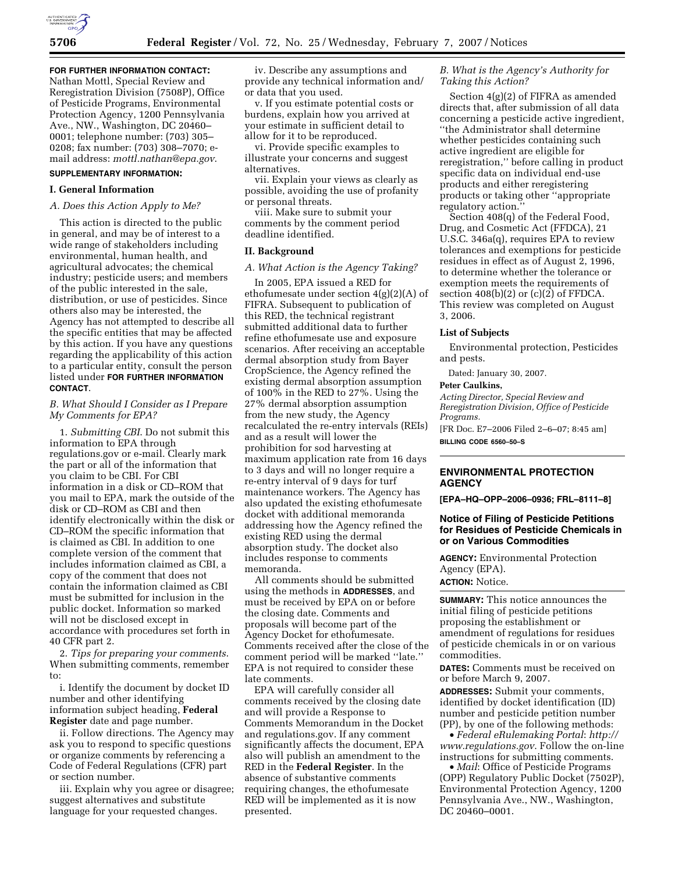# **FOR FURTHER INFORMATION CONTACT:**

Nathan Mottl, Special Review and Reregistration Division (7508P), Office of Pesticide Programs, Environmental Protection Agency, 1200 Pennsylvania Ave., NW., Washington, DC 20460– 0001; telephone number: (703) 305– 0208; fax number: (703) 308–7070; email address: *mottl.nathan@epa.gov*.

# **SUPPLEMENTARY INFORMATION:**

## **I. General Information**

# *A. Does this Action Apply to Me?*

This action is directed to the public in general, and may be of interest to a wide range of stakeholders including environmental, human health, and agricultural advocates; the chemical industry; pesticide users; and members of the public interested in the sale, distribution, or use of pesticides. Since others also may be interested, the Agency has not attempted to describe all the specific entities that may be affected by this action. If you have any questions regarding the applicability of this action to a particular entity, consult the person listed under **FOR FURTHER INFORMATION CONTACT**.

# *B. What Should I Consider as I Prepare My Comments for EPA?*

1. *Submitting CBI*. Do not submit this information to EPA through regulations.gov or e-mail. Clearly mark the part or all of the information that you claim to be CBI. For CBI information in a disk or CD–ROM that you mail to EPA, mark the outside of the disk or CD–ROM as CBI and then identify electronically within the disk or CD–ROM the specific information that is claimed as CBI. In addition to one complete version of the comment that includes information claimed as CBI, a copy of the comment that does not contain the information claimed as CBI must be submitted for inclusion in the public docket. Information so marked will not be disclosed except in accordance with procedures set forth in 40 CFR part 2.

2. *Tips for preparing your comments*. When submitting comments, remember to:

i. Identify the document by docket ID number and other identifying information subject heading, **Federal Register** date and page number.

ii. Follow directions. The Agency may ask you to respond to specific questions or organize comments by referencing a Code of Federal Regulations (CFR) part or section number.

iii. Explain why you agree or disagree; suggest alternatives and substitute language for your requested changes.

iv. Describe any assumptions and provide any technical information and/ or data that you used.

v. If you estimate potential costs or burdens, explain how you arrived at your estimate in sufficient detail to allow for it to be reproduced.

vi. Provide specific examples to illustrate your concerns and suggest alternatives.

vii. Explain your views as clearly as possible, avoiding the use of profanity or personal threats.

viii. Make sure to submit your comments by the comment period deadline identified.

#### **II. Background**

## *A. What Action is the Agency Taking?*

In 2005, EPA issued a RED for ethofumesate under section 4(g)(2)(A) of FIFRA. Subsequent to publication of this RED, the technical registrant submitted additional data to further refine ethofumesate use and exposure scenarios. After receiving an acceptable dermal absorption study from Bayer CropScience, the Agency refined the existing dermal absorption assumption of 100% in the RED to 27%. Using the 27% dermal absorption assumption from the new study, the Agency recalculated the re-entry intervals (REIs) and as a result will lower the prohibition for sod harvesting at maximum application rate from 16 days to 3 days and will no longer require a re-entry interval of 9 days for turf maintenance workers. The Agency has also updated the existing ethofumesate docket with additional memoranda addressing how the Agency refined the existing RED using the dermal absorption study. The docket also includes response to comments memoranda.

All comments should be submitted using the methods in **ADDRESSES**, and must be received by EPA on or before the closing date. Comments and proposals will become part of the Agency Docket for ethofumesate. Comments received after the close of the comment period will be marked ''late.'' EPA is not required to consider these late comments.

EPA will carefully consider all comments received by the closing date and will provide a Response to Comments Memorandum in the Docket and regulations.gov. If any comment significantly affects the document, EPA also will publish an amendment to the RED in the **Federal Register**. In the absence of substantive comments requiring changes, the ethofumesate RED will be implemented as it is now presented.

# *B. What is the Agency's Authority for Taking this Action?*

Section 4(g)(2) of FIFRA as amended directs that, after submission of all data concerning a pesticide active ingredient, ''the Administrator shall determine whether pesticides containing such active ingredient are eligible for reregistration,'' before calling in product specific data on individual end-use products and either reregistering products or taking other ''appropriate regulatory action.''

Section 408(q) of the Federal Food, Drug, and Cosmetic Act (FFDCA), 21 U.S.C. 346a(q), requires EPA to review tolerances and exemptions for pesticide residues in effect as of August 2, 1996, to determine whether the tolerance or exemption meets the requirements of section  $408(b)(2)$  or  $(c)(2)$  of FFDCA. This review was completed on August 3, 2006.

#### **List of Subjects**

Environmental protection, Pesticides and pests.

Dated: January 30, 2007.

#### **Peter Caulkins,**

*Acting Director, Special Review and Reregistration Division, Office of Pesticide Programs.* 

[FR Doc. E7–2006 Filed 2–6–07; 8:45 am] **BILLING CODE 6560–50–S** 

# **ENVIRONMENTAL PROTECTION AGENCY**

**[EPA–HQ–OPP–2006–0936; FRL–8111–8]** 

# **Notice of Filing of Pesticide Petitions for Residues of Pesticide Chemicals in or on Various Commodities**

**AGENCY:** Environmental Protection Agency (EPA). **ACTION:** Notice.

**SUMMARY:** This notice announces the initial filing of pesticide petitions proposing the establishment or amendment of regulations for residues of pesticide chemicals in or on various commodities.

**DATES:** Comments must be received on or before March 9, 2007.

**ADDRESSES:** Submit your comments, identified by docket identification (ID) number and pesticide petition number (PP), by one of the following methods:

• *Federal eRulemaking Portal*: *http:// www.regulations.gov*. Follow the on-line instructions for submitting comments.

• *Mail*: Office of Pesticide Programs (OPP) Regulatory Public Docket (7502P), Environmental Protection Agency, 1200 Pennsylvania Ave., NW., Washington, DC 20460–0001.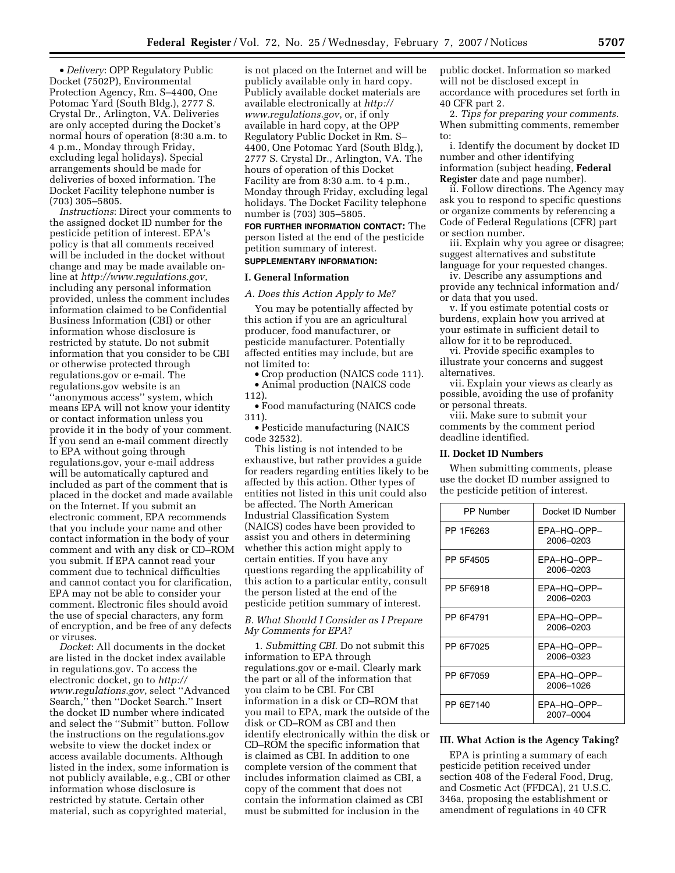• *Delivery*: OPP Regulatory Public Docket (7502P), Environmental Protection Agency, Rm. S–4400, One Potomac Yard (South Bldg.), 2777 S. Crystal Dr., Arlington, VA. Deliveries are only accepted during the Docket's normal hours of operation (8:30 a.m. to 4 p.m., Monday through Friday, excluding legal holidays). Special arrangements should be made for deliveries of boxed information. The Docket Facility telephone number is (703) 305–5805.

*Instructions*: Direct your comments to the assigned docket ID number for the pesticide petition of interest. EPA's policy is that all comments received will be included in the docket without change and may be made available online at *http://www.regulations.gov*, including any personal information provided, unless the comment includes information claimed to be Confidential Business Information (CBI) or other information whose disclosure is restricted by statute. Do not submit information that you consider to be CBI or otherwise protected through regulations.gov or e-mail. The regulations.gov website is an ''anonymous access'' system, which means EPA will not know your identity or contact information unless you provide it in the body of your comment. If you send an e-mail comment directly to EPA without going through regulations.gov, your e-mail address will be automatically captured and included as part of the comment that is placed in the docket and made available on the Internet. If you submit an electronic comment, EPA recommends that you include your name and other contact information in the body of your comment and with any disk or CD–ROM you submit. If EPA cannot read your comment due to technical difficulties and cannot contact you for clarification, EPA may not be able to consider your comment. Electronic files should avoid the use of special characters, any form of encryption, and be free of any defects or viruses.

*Docket*: All documents in the docket are listed in the docket index available in regulations.gov. To access the electronic docket, go to *http:// www.regulations.gov*, select ''Advanced Search,'' then ''Docket Search.'' Insert the docket ID number where indicated and select the ''Submit'' button. Follow the instructions on the regulations.gov website to view the docket index or access available documents. Although listed in the index, some information is not publicly available, e.g., CBI or other information whose disclosure is restricted by statute. Certain other material, such as copyrighted material,

is not placed on the Internet and will be publicly available only in hard copy. Publicly available docket materials are available electronically at *http:// www.regulations.gov*, or, if only available in hard copy, at the OPP Regulatory Public Docket in Rm. S– 4400, One Potomac Yard (South Bldg.), 2777 S. Crystal Dr., Arlington, VA. The hours of operation of this Docket Facility are from 8:30 a.m. to 4 p.m., Monday through Friday, excluding legal holidays. The Docket Facility telephone number is (703) 305–5805.

**FOR FURTHER INFORMATION CONTACT:** The person listed at the end of the pesticide petition summary of interest. **SUPPLEMENTARY INFORMATION:** 

# **I. General Information**

*A. Does this Action Apply to Me?* 

You may be potentially affected by this action if you are an agricultural producer, food manufacturer, or pesticide manufacturer. Potentially affected entities may include, but are not limited to:

• Crop production (NAICS code 111). • Animal production (NAICS code

112).

• Food manufacturing (NAICS code 311).

• Pesticide manufacturing (NAICS code 32532).

This listing is not intended to be exhaustive, but rather provides a guide for readers regarding entities likely to be affected by this action. Other types of entities not listed in this unit could also be affected. The North American Industrial Classification System (NAICS) codes have been provided to assist you and others in determining whether this action might apply to certain entities. If you have any questions regarding the applicability of this action to a particular entity, consult the person listed at the end of the pesticide petition summary of interest.

*B. What Should I Consider as I Prepare My Comments for EPA?* 

1. *Submitting CBI*. Do not submit this information to EPA through regulations.gov or e-mail. Clearly mark the part or all of the information that you claim to be CBI. For CBI information in a disk or CD–ROM that you mail to EPA, mark the outside of the disk or CD–ROM as CBI and then identify electronically within the disk or CD–ROM the specific information that is claimed as CBI. In addition to one complete version of the comment that includes information claimed as CBI, a copy of the comment that does not contain the information claimed as CBI must be submitted for inclusion in the

public docket. Information so marked will not be disclosed except in accordance with procedures set forth in 40 CFR part 2.

2. *Tips for preparing your comments*. When submitting comments, remember to:

i. Identify the document by docket ID number and other identifying information (subject heading, **Federal Register** date and page number).

ii. Follow directions. The Agency may ask you to respond to specific questions or organize comments by referencing a Code of Federal Regulations (CFR) part or section number.

iii. Explain why you agree or disagree; suggest alternatives and substitute language for your requested changes.

iv. Describe any assumptions and provide any technical information and/ or data that you used.

v. If you estimate potential costs or burdens, explain how you arrived at your estimate in sufficient detail to allow for it to be reproduced.

vi. Provide specific examples to illustrate your concerns and suggest alternatives.

vii. Explain your views as clearly as possible, avoiding the use of profanity or personal threats.

viii. Make sure to submit your comments by the comment period deadline identified.

## **II. Docket ID Numbers**

When submitting comments, please use the docket ID number assigned to the pesticide petition of interest.

| <b>PP Number</b> | Docket ID Number         |
|------------------|--------------------------|
| PP 1F6263        | EPA-HQ-OPP-<br>2006-0203 |
| PP 5F4505        | EPA-HO-OPP-<br>2006-0203 |
| PP 5F6918        | EPA-HQ-OPP-<br>2006-0203 |
| PP 6F4791        | EPA-HO-OPP-<br>2006-0203 |
| PP 6F7025        | EPA-HO-OPP-<br>2006-0323 |
| PP 6F7059        | EPA-HQ-OPP-<br>2006–1026 |
| PP 6E7140        | EPA-HQ-OPP-<br>2007-0004 |

## **III. What Action is the Agency Taking?**

EPA is printing a summary of each pesticide petition received under section 408 of the Federal Food, Drug, and Cosmetic Act (FFDCA), 21 U.S.C. 346a, proposing the establishment or amendment of regulations in 40 CFR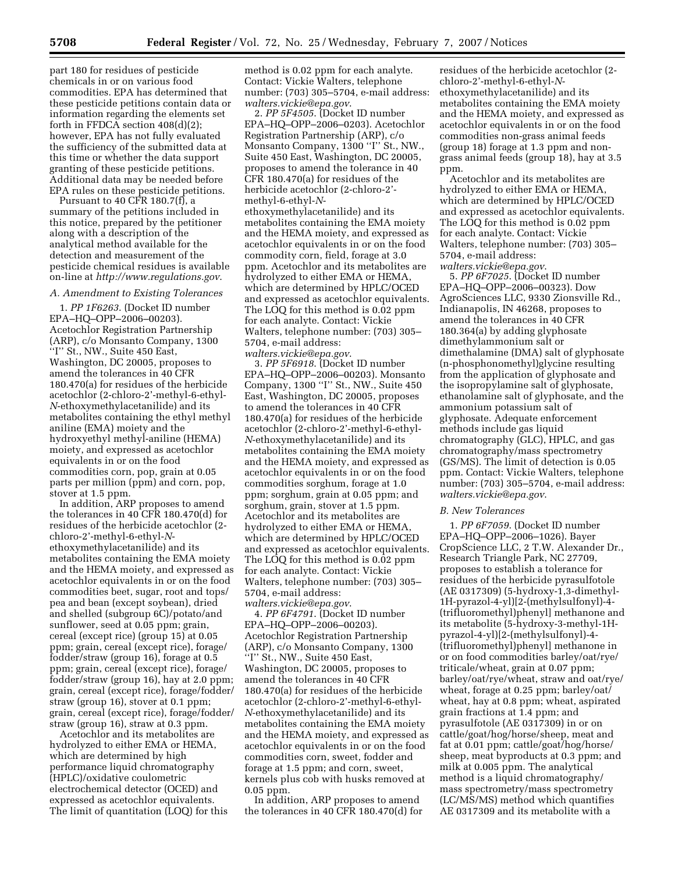part 180 for residues of pesticide chemicals in or on various food commodities. EPA has determined that these pesticide petitions contain data or information regarding the elements set forth in FFDCA section 408(d)(2); however, EPA has not fully evaluated the sufficiency of the submitted data at this time or whether the data support granting of these pesticide petitions. Additional data may be needed before EPA rules on these pesticide petitions.

Pursuant to 40 CFR 180.7(f), a summary of the petitions included in this notice, prepared by the petitioner along with a description of the analytical method available for the detection and measurement of the pesticide chemical residues is available on-line at *http://www.regulations.gov*.

### *A. Amendment to Existing Tolerances*

1. *PP 1F6263*. (Docket ID number EPA–HQ–OPP–2006–00203). Acetochlor Registration Partnership (ARP), c/o Monsanto Company, 1300 ''I'' St., NW., Suite 450 East, Washington, DC 20005, proposes to amend the tolerances in 40 CFR 180.470(a) for residues of the herbicide acetochlor (2-chloro-2'-methyl-6-ethyl-*N*-ethoxymethylacetanilide) and its metabolites containing the ethyl methyl aniline (EMA) moiety and the hydroxyethyl methyl-aniline (HEMA) moiety, and expressed as acetochlor equivalents in or on the food commodities corn, pop, grain at 0.05 parts per million (ppm) and corn, pop, stover at 1.5 ppm.

In addition, ARP proposes to amend the tolerances in 40 CFR 180.470(d) for residues of the herbicide acetochlor (2 chloro-2'-methyl-6-ethyl-*N*ethoxymethylacetanilide) and its metabolites containing the EMA moiety and the HEMA moiety, and expressed as acetochlor equivalents in or on the food commodities beet, sugar, root and tops/ pea and bean (except soybean), dried and shelled (subgroup 6C)/potato/and sunflower, seed at 0.05 ppm; grain, cereal (except rice) (group 15) at 0.05 ppm; grain, cereal (except rice), forage/ fodder/straw (group 16), forage at 0.5 ppm; grain, cereal (except rice), forage/ fodder/straw (group 16), hay at 2.0 ppm; grain, cereal (except rice), forage/fodder/ straw (group 16), stover at 0.1 ppm; grain, cereal (except rice), forage/fodder/ straw (group 16), straw at 0.3 ppm.

Acetochlor and its metabolites are hydrolyzed to either EMA or HEMA, which are determined by high performance liquid chromatography (HPLC)/oxidative coulometric electrochemical detector (OCED) and expressed as acetochlor equivalents. The limit of quantitation (LOQ) for this method is 0.02 ppm for each analyte. Contact: Vickie Walters, telephone number: (703) 305–5704, e-mail address: *walters.vickie@epa.gov*.

2. *PP 5F4505*. (Docket ID number EPA–HQ–OPP–2006–0203). Acetochlor Registration Partnership (ARP), c/o Monsanto Company, 1300 ''I'' St., NW., Suite 450 East, Washington, DC 20005, proposes to amend the tolerance in 40 CFR 180.470(a) for residues of the herbicide acetochlor (2-chloro-2' methyl-6-ethyl-*N*ethoxymethylacetanilide) and its metabolites containing the EMA moiety and the HEMA moiety, and expressed as acetochlor equivalents in or on the food commodity corn, field, forage at 3.0 ppm. Acetochlor and its metabolites are hydrolyzed to either EMA or HEMA, which are determined by HPLC/OCED and expressed as acetochlor equivalents. The LOQ for this method is 0.02 ppm for each analyte. Contact: Vickie Walters, telephone number: (703) 305– 5704, e-mail address:

*walters.vickie@epa.gov*. 3. *PP 5F6918*. (Docket ID number EPA–HQ–OPP–2006–00203). Monsanto Company, 1300 ''I'' St., NW., Suite 450 East, Washington, DC 20005, proposes to amend the tolerances in 40 CFR 180.470(a) for residues of the herbicide acetochlor (2-chloro-2'-methyl-6-ethyl-*N*-ethoxymethylacetanilide) and its metabolites containing the EMA moiety and the HEMA moiety, and expressed as acetochlor equivalents in or on the food commodities sorghum, forage at 1.0 ppm; sorghum, grain at 0.05 ppm; and sorghum, grain, stover at 1.5 ppm. Acetochlor and its metabolites are hydrolyzed to either EMA or HEMA, which are determined by HPLC/OCED and expressed as acetochlor equivalents. The LOQ for this method is 0.02 ppm for each analyte. Contact: Vickie Walters, telephone number: (703) 305– 5704, e-mail address: *walters.vickie@epa.gov*.

4. *PP 6F4791*. (Docket ID number EPA–HQ–OPP–2006–00203). Acetochlor Registration Partnership (ARP), c/o Monsanto Company, 1300 ''I'' St., NW., Suite 450 East, Washington, DC 20005, proposes to amend the tolerances in 40 CFR 180.470(a) for residues of the herbicide acetochlor (2-chloro-2'-methyl-6-ethyl-*N*-ethoxymethylacetanilide) and its metabolites containing the EMA moiety and the HEMA moiety, and expressed as acetochlor equivalents in or on the food commodities corn, sweet, fodder and forage at 1.5 ppm; and corn, sweet, kernels plus cob with husks removed at 0.05 ppm.

In addition, ARP proposes to amend the tolerances in 40 CFR 180.470(d) for residues of the herbicide acetochlor (2 chloro-2'-methyl-6-ethyl-*N*ethoxymethylacetanilide) and its metabolites containing the EMA moiety and the HEMA moiety, and expressed as acetochlor equivalents in or on the food commodities non-grass animal feeds (group 18) forage at 1.3 ppm and nongrass animal feeds (group 18), hay at 3.5 ppm.

Acetochlor and its metabolites are hydrolyzed to either EMA or HEMA, which are determined by HPLC/OCED and expressed as acetochlor equivalents. The LOQ for this method is 0.02 ppm for each analyte. Contact: Vickie Walters, telephone number: (703) 305– 5704, e-mail address: *walters.vickie@epa.gov*.

5. *PP 6F7025*. (Docket ID number EPA–HQ–OPP–2006–00323). Dow AgroSciences LLC, 9330 Zionsville Rd., Indianapolis, IN 46268, proposes to amend the tolerances in 40 CFR 180.364(a) by adding glyphosate dimethylammonium salt or dimethalamine (DMA) salt of glyphosate (n-phosphonomethyl)glycine resulting from the application of glyphosate and the isopropylamine salt of glyphosate, ethanolamine salt of glyphosate, and the ammonium potassium salt of glyphosate. Adequate enforcement methods include gas liquid chromatography (GLC), HPLC, and gas chromatography/mass spectrometry (GS/MS). The limit of detection is 0.05 ppm. Contact: Vickie Walters, telephone number: (703) 305–5704, e-mail address: *walters.vickie@epa.gov*.

#### *B. New Tolerances*

1. *PP 6F7059*. (Docket ID number EPA–HQ–OPP–2006–1026). Bayer CropScience LLC, 2 T.W. Alexander Dr., Research Triangle Park, NC 27709, proposes to establish a tolerance for residues of the herbicide pyrasulfotole (AE 0317309) (5-hydroxy-1,3-dimethyl-1H-pyrazol-4-yl)[2-(methylsulfonyl)-4- (trifluoromethyl)phenyl] methanone and its metabolite (5-hydroxy-3-methyl-1Hpyrazol-4-yl)[2-(methylsulfonyl)-4- (trifluoromethyl)phenyl] methanone in or on food commodities barley/oat/rye/ triticale/wheat, grain at 0.07 ppm; barley/oat/rye/wheat, straw and oat/rye/ wheat, forage at 0.25 ppm; barley/oat/ wheat, hay at 0.8 ppm; wheat, aspirated grain fractions at 1.4 ppm; and pyrasulfotole (AE 0317309) in or on cattle/goat/hog/horse/sheep, meat and fat at 0.01 ppm; cattle/goat/hog/horse/ sheep, meat byproducts at 0.3 ppm; and milk at 0.005 ppm. The analytical method is a liquid chromatography/ mass spectrometry/mass spectrometry (LC/MS/MS) method which quantifies AE 0317309 and its metabolite with a